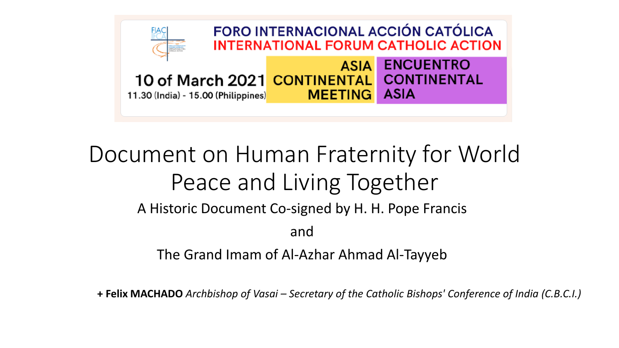

#### Document on Human Fraternity for World Peace and Living Together

A Historic Document Co-signed by H. H. Pope Francis

and

The Grand Imam of Al-Azhar Ahmad Al-Tayyeb

**+ Felix MACHADO** *Archbishop of Vasai – Secretary of the Catholic Bishops' Conference of India (C.B.C.I.)*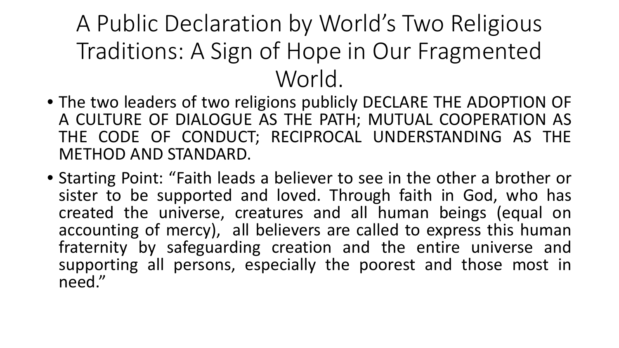A Public Declaration by World's Two Religious Traditions: A Sign of Hope in Our Fragmented World.

- The two leaders of two religions publicly DECLARE THE ADOPTION OF A CULTURE OF DIALOGUE AS THE PATH; MUTUAL COOPERATION AS THE CODE OF CONDUCT; RECIPROCAL UNDERSTANDING AS THE METHOD AND STANDARD.
- Starting Point: "Faith leads a believer to see in the other a brother or sister to be supported and loved. Through faith in God, who has created the universe, creatures and all human beings (equal on accounting of mercy), all believers are called to express this human fraternity by safeguarding creation and the entire universe and supporting all persons, especially the poorest and those most in need."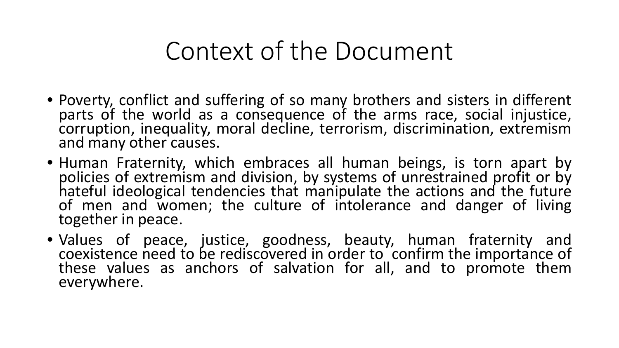#### Context of the Document

- Poverty, conflict and suffering of so many brothers and sisters in different parts of the world as a consequence of the arms race, social injustice, corruption, inequality, moral decline, terrorism, discrimination, extremism and many other causes.
- Human Fraternity, which embraces all human beings, is torn apart by policies of extremism and division, by systems of unrestrained profit or by hateful ideological tendencies that manipulate the actions and the future of men and women; the culture of intolerance and danger of living together in peace.
- Values of peace, justice, goodness, beauty, human fraternity and coexistence need to be rediscovered in order to confirm the importance of these values as anchors of salvation for all, and to promote them everywhere.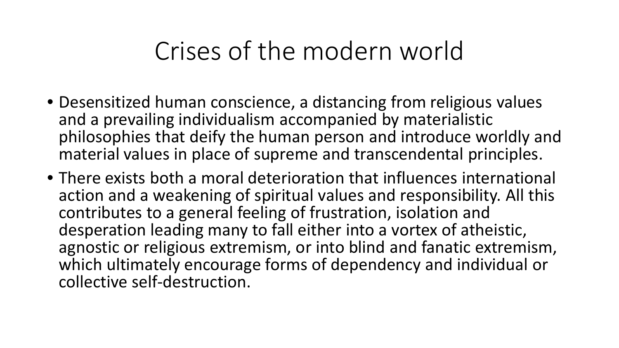#### Crises of the modern world

- Desensitized human conscience, a distancing from religious values and a prevailing individualism accompanied by materialistic philosophies that deify the human person and introduce worldly and material values in place of supreme and transcendental principles.
- There exists both a moral deterioration that influences international action and a weakening of spiritual values and responsibility. All this contributes to a general feeling of frustration, isolation and desperation leading many to fall either into a vortex of atheistic, agnostic or religious extremism, or into blind and fanatic extremism, which ultimately encourage forms of dependency and individual or collective self-destruction.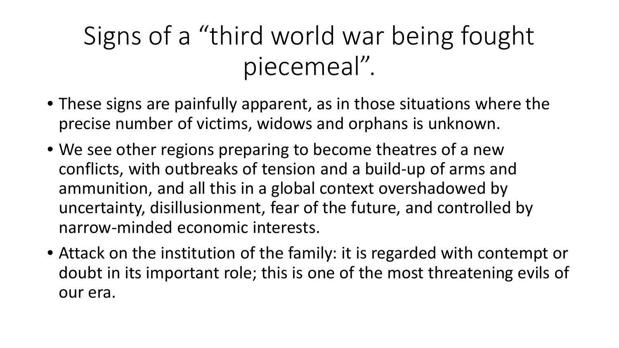## Signs of a "third world war being fought piecemeal".

- These signs are painfully apparent, as in those situations where the precise number of victims, widows and orphans is unknown.
- We see other regions preparing to become theatres of a new conflicts, with outbreaks of tension and a build-up of arms and ammunition, and all this in a global context overshadowed by uncertainty, disillusionment, fear of the future, and controlled by narrow-minded economic interests.
- Attack on the institution of the family: it is regarded with contempt or doubt in its important role; this is one of the most threatening evils of our era.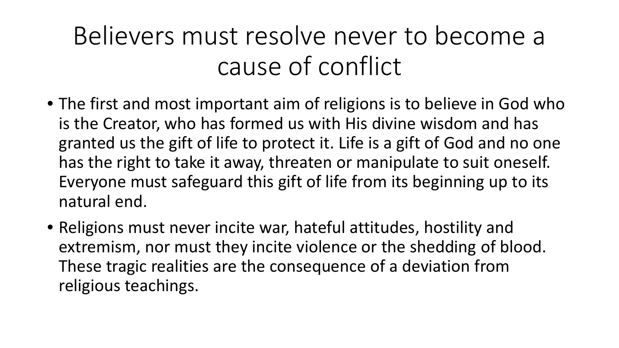## Believers must resolve never to become a cause of conflict

- The first and most important aim of religions is to believe in God who is the Creator, who has formed us with His divine wisdom and has granted us the gift of life to protect it. Life is a gift of God and no one has the right to take it away, threaten or manipulate to suit oneself. Everyone must safeguard this gift of life from its beginning up to its natural end.
- Religions must never incite war, hateful attitudes, hostility and extremism, nor must they incite violence or the shedding of blood. These tragic realities are the consequence of a deviation from religious teachings.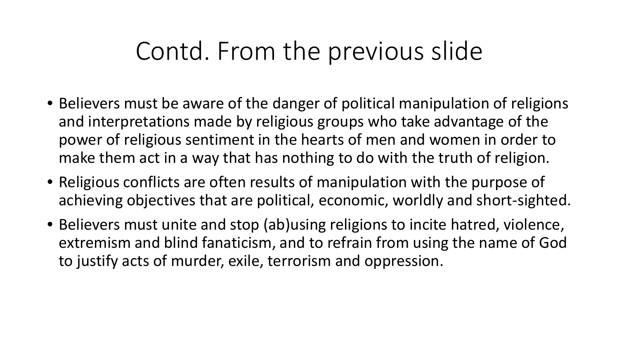#### Contd. From the previous slide

- Believers must be aware of the danger of political manipulation of religions and interpretations made by religious groups who take advantage of the power of religious sentiment in the hearts of men and women in order to make them act in a way that has nothing to do with the truth of religion.
- Religious conflicts are often results of manipulation with the purpose of achieving objectives that are political, economic, worldly and short-sighted.
- Believers must unite and stop (ab)using religions to incite hatred, violence, extremism and blind fanaticism, and to refrain from using the name of God to justify acts of murder, exile, terrorism and oppression.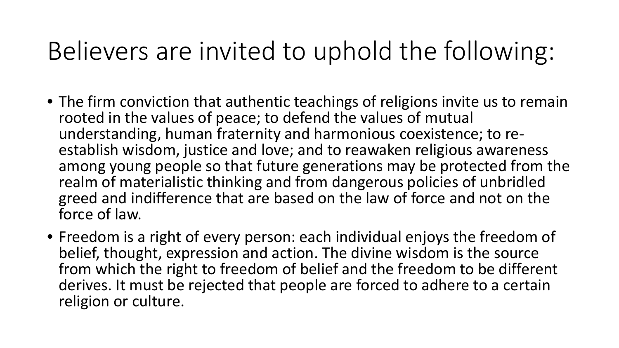## Believers are invited to uphold the following:

- The firm conviction that authentic teachings of religions invite us to remain rooted in the values of peace; to defend the values of mutual<br>understanding, human fraternity and harmonious coexistence; to reestablish wisdom, justice and love; and to reawaken religious awareness among young people so that future generations may be protected from the realm of materialistic thinking and from dangerous policies of unbridled greed and indifference that are based on the law of force and not on the force of law.
- Freedom is a right of every person: each individual enjoys the freedom of belief, thought, expression and action. The divine wisdom is the source from which the right to freedom of belief and the freedom to be different derives. It must be rejected that people are forced to adhere to a certain religion or culture.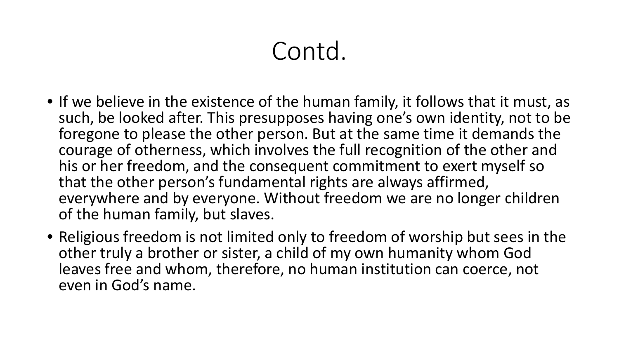## Contd.

- If we believe in the existence of the human family, it follows that it must, as such, be looked after. This presupposes having one's own identity, not to be foregone to please the other person. But at the same time it demands the courage of otherness, which involves the full recognition of the other and his or her freedom, and the consequent commitment to exert myself so that the other person's fundamental rights are always affirmed, everywhere and by everyone. Without freedom we are no longer children of the human family, but slaves.
- Religious freedom is not limited only to freedom of worship but sees in the other truly a brother or sister, a child of my own humanity whom God leaves free and whom, therefore, no human institution can coerce, not even in God's name.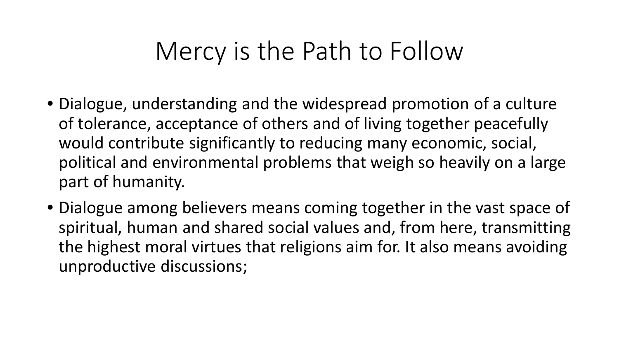#### Mercy is the Path to Follow

- Dialogue, understanding and the widespread promotion of a culture of tolerance, acceptance of others and of living together peacefully would contribute significantly to reducing many economic, social, political and environmental problems that weigh so heavily on a large part of humanity.
- Dialogue among believers means coming together in the vast space of spiritual, human and shared social values and, from here, transmitting the highest moral virtues that religions aim for. It also means avoiding unproductive discussions;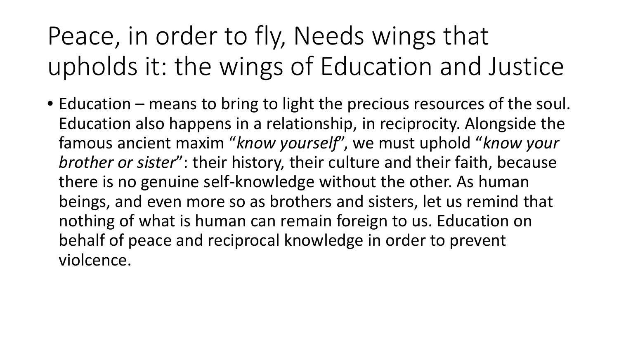# Peace, in order to fly, Needs wings that upholds it: the wings of Education and Justice

• Education – means to bring to light the precious resources of the soul. Education also happens in a relationship, in reciprocity. Alongside the famous ancient maxim "*know yourself*", we must uphold "*know your brother or sister*": their history, their culture and their faith, because there is no genuine self-knowledge without the other. As human beings, and even more so as brothers and sisters, let us remind that nothing of what is human can remain foreign to us. Education on behalf of peace and reciprocal knowledge in order to prevent violcence.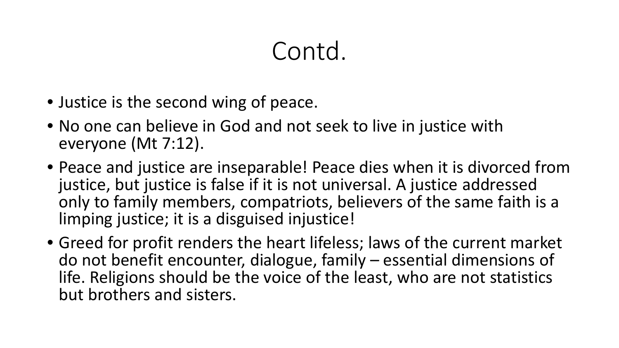### Contd.

- Justice is the second wing of peace.
- No one can believe in God and not seek to live in justice with everyone (Mt 7:12).
- Peace and justice are inseparable! Peace dies when it is divorced from justice, but justice is false if it is not universal. A justice addressed only to family members, compatriots, believers of the same faith is a limping justice; it is a disguised injustice!
- Greed for profit renders the heart lifeless; laws of the current market do not benefit encounter, dialogue, family – essential dimensions of life. Religions should be the voice of the least, who are not statistics but brothers and sisters.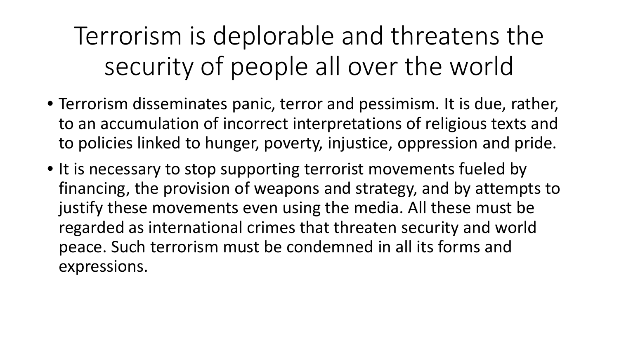Terrorism is deplorable and threatens the security of people all over the world

- Terrorism disseminates panic, terror and pessimism. It is due, rather, to an accumulation of incorrect interpretations of religious texts and to policies linked to hunger, poverty, injustice, oppression and pride.
- It is necessary to stop supporting terrorist movements fueled by financing, the provision of weapons and strategy, and by attempts to justify these movements even using the media. All these must be regarded as international crimes that threaten security and world peace. Such terrorism must be condemned in all its forms and expressions.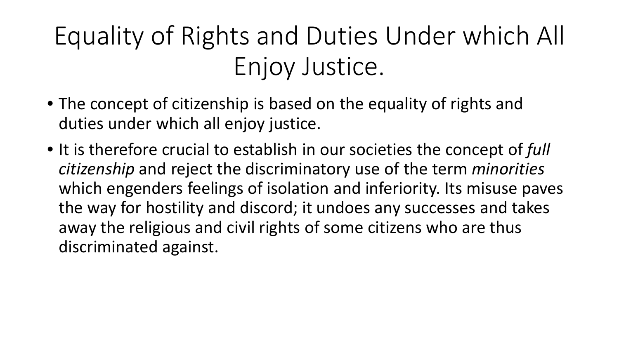# Equality of Rights and Duties Under which All Enjoy Justice.

- The concept of citizenship is based on the equality of rights and duties under which all enjoy justice.
- It is therefore crucial to establish in our societies the concept of *full citizenship* and reject the discriminatory use of the term *minorities* which engenders feelings of isolation and inferiority. Its misuse paves the way for hostility and discord; it undoes any successes and takes away the religious and civil rights of some citizens who are thus discriminated against.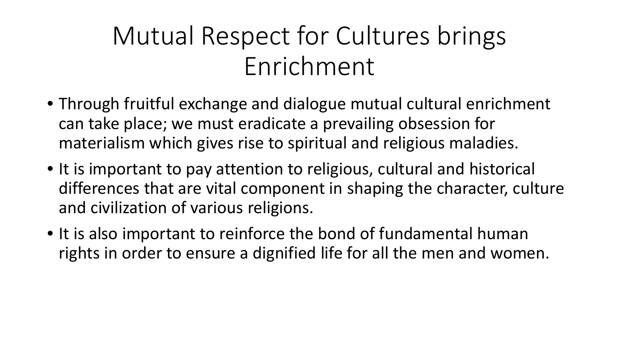## Mutual Respect for Cultures brings Enrichment

- Through fruitful exchange and dialogue mutual cultural enrichment can take place; we must eradicate a prevailing obsession for materialism which gives rise to spiritual and religious maladies.
- It is important to pay attention to religious, cultural and historical differences that are vital component in shaping the character, culture and civilization of various religions.
- It is also important to reinforce the bond of fundamental human rights in order to ensure a dignified life for all the men and women.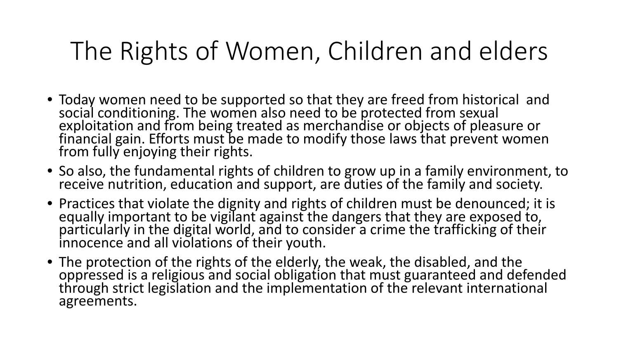## The Rights of Women, Children and elders

- Today women need to be supported so that they are freed from historical and social conditioning. The women also need to be protected from sexual exploitation and from being treated as merchandise or objects of pleasure or financial gain. Efforts must be made to modify those laws that prevent women from fully enjoying their rights.
- So also, the fundamental rights of children to grow up in a family environment, to receive nutrition, education and support, are duties of the family and society.
- Practices that violate the dignity and rights of children must be denounced; it is equally important to be vigilant against the dangers that they are exposed to, particularly in the digital world, and to consider a crime the trafficking of their innocence and all violations of their youth.
- The protection of the rights of the elderly, the weak, the disabled, and the oppressed is a religious and social obligation that must guaranteed and defended through strict legislation and the implementation of the relevant international agreements.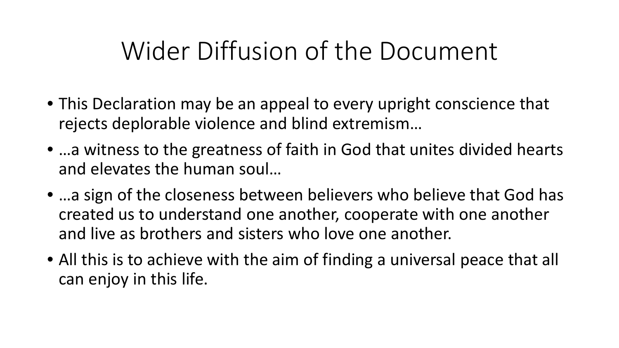## Wider Diffusion of the Document

- This Declaration may be an appeal to every upright conscience that rejects deplorable violence and blind extremism…
- …a witness to the greatness of faith in God that unites divided hearts and elevates the human soul…
- ... a sign of the closeness between believers who believe that God has created us to understand one another, cooperate with one another and live as brothers and sisters who love one another.
- All this is to achieve with the aim of finding a universal peace that all can enjoy in this life.